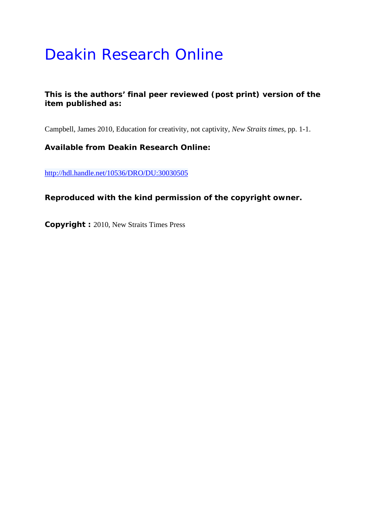## Deakin Research Online

## **This is the authors' final peer reviewed (post print) version of the item published as:**

Campbell, James 2010, Education for creativity, not captivity*, New Straits times*, pp. 1-1.

**Available from Deakin Research Online:** 

http://hdl.handle.net/10536/DRO/DU:30030505

**Reproduced with the kind permission of the copyright owner.** 

**Copyright :** 2010, New Straits Times Press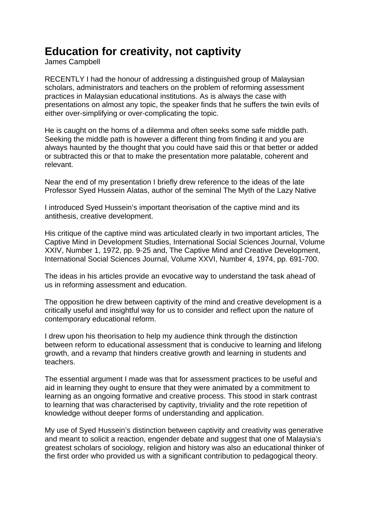## **Education for creativity, not captivity**

James Campbell

RECENTLY I had the honour of addressing a distinguished group of Malaysian scholars, administrators and teachers on the problem of reforming assessment practices in Malaysian educational institutions. As is always the case with presentations on almost any topic, the speaker finds that he suffers the twin evils of either over-simplifying or over-complicating the topic.

He is caught on the horns of a dilemma and often seeks some safe middle path. Seeking the middle path is however a different thing from finding it and you are always haunted by the thought that you could have said this or that better or added or subtracted this or that to make the presentation more palatable, coherent and relevant.

Near the end of my presentation I briefly drew reference to the ideas of the late Professor Syed Hussein Alatas, author of the seminal The Myth of the Lazy Native

I introduced Syed Hussein's important theorisation of the captive mind and its antithesis, creative development.

His critique of the captive mind was articulated clearly in two important articles, The Captive Mind in Development Studies, International Social Sciences Journal, Volume XXIV, Number 1, 1972, pp. 9-25 and, The Captive Mind and Creative Development, International Social Sciences Journal, Volume XXVI, Number 4, 1974, pp. 691-700.

The ideas in his articles provide an evocative way to understand the task ahead of us in reforming assessment and education.

The opposition he drew between captivity of the mind and creative development is a critically useful and insightful way for us to consider and reflect upon the nature of contemporary educational reform.

I drew upon his theorisation to help my audience think through the distinction between reform to educational assessment that is conducive to learning and lifelong growth, and a revamp that hinders creative growth and learning in students and teachers.

The essential argument I made was that for assessment practices to be useful and aid in learning they ought to ensure that they were animated by a commitment to learning as an ongoing formative and creative process. This stood in stark contrast to learning that was characterised by captivity, triviality and the rote repetition of knowledge without deeper forms of understanding and application.

My use of Syed Hussein's distinction between captivity and creativity was generative and meant to solicit a reaction, engender debate and suggest that one of Malaysia's greatest scholars of sociology, religion and history was also an educational thinker of the first order who provided us with a significant contribution to pedagogical theory.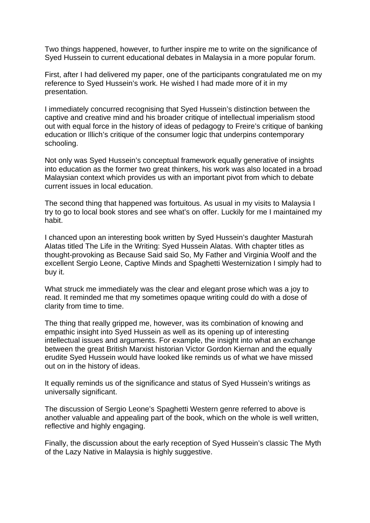Two things happened, however, to further inspire me to write on the significance of Syed Hussein to current educational debates in Malaysia in a more popular forum.

First, after I had delivered my paper, one of the participants congratulated me on my reference to Syed Hussein's work. He wished I had made more of it in my presentation.

I immediately concurred recognising that Syed Hussein's distinction between the captive and creative mind and his broader critique of intellectual imperialism stood out with equal force in the history of ideas of pedagogy to Freire's critique of banking education or Illich's critique of the consumer logic that underpins contemporary schooling.

Not only was Syed Hussein's conceptual framework equally generative of insights into education as the former two great thinkers, his work was also located in a broad Malaysian context which provides us with an important pivot from which to debate current issues in local education.

The second thing that happened was fortuitous. As usual in my visits to Malaysia I try to go to local book stores and see what's on offer. Luckily for me I maintained my habit.

I chanced upon an interesting book written by Syed Hussein's daughter Masturah Alatas titled The Life in the Writing: Syed Hussein Alatas. With chapter titles as thought-provoking as Because Said said So, My Father and Virginia Woolf and the excellent Sergio Leone, Captive Minds and Spaghetti Westernization I simply had to buy it.

What struck me immediately was the clear and elegant prose which was a joy to read. It reminded me that my sometimes opaque writing could do with a dose of clarity from time to time.

The thing that really gripped me, however, was its combination of knowing and empathic insight into Syed Hussein as well as its opening up of interesting intellectual issues and arguments. For example, the insight into what an exchange between the great British Marxist historian Victor Gordon Kiernan and the equally erudite Syed Hussein would have looked like reminds us of what we have missed out on in the history of ideas.

It equally reminds us of the significance and status of Syed Hussein's writings as universally significant.

The discussion of Sergio Leone's Spaghetti Western genre referred to above is another valuable and appealing part of the book, which on the whole is well written, reflective and highly engaging.

Finally, the discussion about the early reception of Syed Hussein's classic The Myth of the Lazy Native in Malaysia is highly suggestive.